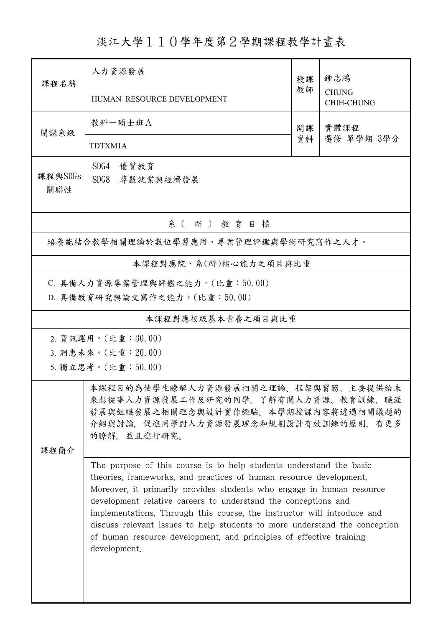淡江大學110學年度第2學期課程教學計畫表

| 課程名稱                                                           | 人力資源發展                                                                                                                                                                                                                                                                                                                                                                                                                                                                                                                               | 授課 | 鍾志鴻                               |  |  |
|----------------------------------------------------------------|--------------------------------------------------------------------------------------------------------------------------------------------------------------------------------------------------------------------------------------------------------------------------------------------------------------------------------------------------------------------------------------------------------------------------------------------------------------------------------------------------------------------------------------|----|-----------------------------------|--|--|
|                                                                | HUMAN RESOURCE DEVELOPMENT                                                                                                                                                                                                                                                                                                                                                                                                                                                                                                           |    | <b>CHUNG</b><br><b>CHIH-CHUNG</b> |  |  |
| 開課系級                                                           | 教科一碩士班A                                                                                                                                                                                                                                                                                                                                                                                                                                                                                                                              | 開課 | 實體課程                              |  |  |
|                                                                | TDTXM1A                                                                                                                                                                                                                                                                                                                                                                                                                                                                                                                              | 資料 | 選修 單學期 3學分                        |  |  |
| 課程與SDGs<br>關聯性                                                 | SDG4<br>優質教育<br>SDG8<br>尊嚴就業與經濟發展                                                                                                                                                                                                                                                                                                                                                                                                                                                                                                    |    |                                   |  |  |
| 系(所)教育目標                                                       |                                                                                                                                                                                                                                                                                                                                                                                                                                                                                                                                      |    |                                   |  |  |
| 培養能結合教學相關理論於數位學習應用、專案管理評鑑與學術研究寫作之人才。                           |                                                                                                                                                                                                                                                                                                                                                                                                                                                                                                                                      |    |                                   |  |  |
| 本課程對應院、系(所)核心能力之項目與比重                                          |                                                                                                                                                                                                                                                                                                                                                                                                                                                                                                                                      |    |                                   |  |  |
| C. 具備人力資源專案管理與評鑑之能力。(比重:50.00)<br>D. 具備教育研究與論文寫作之能力。(比重:50.00) |                                                                                                                                                                                                                                                                                                                                                                                                                                                                                                                                      |    |                                   |  |  |
| 本課程對應校級基本素養之項目與比重                                              |                                                                                                                                                                                                                                                                                                                                                                                                                                                                                                                                      |    |                                   |  |  |
| 2. 資訊運用。(比重:30.00)                                             |                                                                                                                                                                                                                                                                                                                                                                                                                                                                                                                                      |    |                                   |  |  |
| 3. 洞悉未來。(比重: 20.00)<br>5. 獨立思考。(比重:50.00)                      |                                                                                                                                                                                                                                                                                                                                                                                                                                                                                                                                      |    |                                   |  |  |
|                                                                |                                                                                                                                                                                                                                                                                                                                                                                                                                                                                                                                      |    |                                   |  |  |
|                                                                | 本課程目的為使學生瞭解人力資源發展相關之理論、框架與實務。主要提供給未<br>來想從事人力資源發展工作及研究的同學,了解有關人力資源、教育訓練、職涯<br>發展與組織發展之相關理念與設計實作經驗。本學期授課內容將透過相關議題的<br>介紹與討論,促進同學對人力資源發展理念和規劃設計有效訓練的原則,有更多<br>的瞭解, 並且進行研究。                                                                                                                                                                                                                                                                                                                                                             |    |                                   |  |  |
| 课程简介                                                           |                                                                                                                                                                                                                                                                                                                                                                                                                                                                                                                                      |    |                                   |  |  |
|                                                                | The purpose of this course is to help students understand the basic<br>theories, frameworks, and practices of human resource development.<br>Moreover, it primarily provides students who engage in human resource<br>development relative careers to understand the conceptions and<br>implementations. Through this course, the instructor will introduce and<br>discuss relevant issues to help students to more understand the conception<br>of human resource development, and principles of effective training<br>development. |    |                                   |  |  |
|                                                                |                                                                                                                                                                                                                                                                                                                                                                                                                                                                                                                                      |    |                                   |  |  |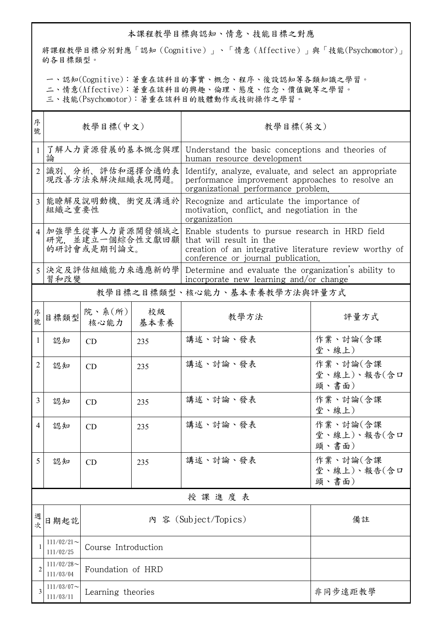## 本課程教學目標與認知、情意、技能目標之對應

將課程教學目標分別對應「認知(Cognitive)」、「情意(Affective)」與「技能(Psychomotor)」 的各目標類型。

一、認知(Cognitive):著重在該科目的事實、概念、程序、後設認知等各類知識之學習。

二、情意(Affective):著重在該科目的興趣、倫理、態度、信念、價值觀等之學習。

三、技能(Psychomotor):著重在該科目的肢體動作或技術操作之學習。

| 序<br>號         | 教學目標(中文)                                           |                          |            | 教學目標(英文)                                                                                                                                                                   |                                  |  |  |
|----------------|----------------------------------------------------|--------------------------|------------|----------------------------------------------------------------------------------------------------------------------------------------------------------------------------|----------------------------------|--|--|
| 1              | 論                                                  | 了解人力資源發展的基本慨念與理          |            | Understand the basic conceptions and theories of<br>human resource development                                                                                             |                                  |  |  |
| $\overline{2}$ | 識別、分析、評估和選擇合適的表<br>現改善方法來解決組織表現問題。                 |                          |            | Identify, analyze, evaluate, and select an appropriate<br>performance improvement approaches to resolve an<br>organizational performance problem.                          |                                  |  |  |
| 3              | 能瞭解及說明動機、衝突及溝通於<br>組織之重要性                          |                          |            | Recognize and articulate the importance of<br>motivation, conflict, and negotiation in the<br>organization                                                                 |                                  |  |  |
|                | 加強學生從事人力資源開發領域之<br>研究, 並建立一個綜合性文獻回顧<br>的研討會或是期刊論文。 |                          |            | Enable students to pursue research in HRD field<br>that will result in the<br>creation of an integrative literature review worthy of<br>conference or journal publication. |                                  |  |  |
|                | 決定及評估組織能力來適應新的學<br>習和改變                            |                          |            | Determine and evaluate the organization's ability to<br>incorporate new learning and/or change                                                                             |                                  |  |  |
|                |                                                    |                          |            |                                                                                                                                                                            | 教學目標之目標類型、核心能力、基本素養教學方法與評量方式     |  |  |
| 序號             | 目標類型                                               | 院、系 $(\text{m})$<br>核心能力 | 校級<br>基本素養 | 教學方法                                                                                                                                                                       | 評量方式                             |  |  |
| 1              | 認知                                                 | CD                       | 235        | 講述、討論、發表                                                                                                                                                                   | 作業、討論(含課<br>堂、線上)                |  |  |
| 2              | 認知                                                 | CD                       | 235        | 講述、討論、發表                                                                                                                                                                   | 作業、討論(含課<br>堂、線上)、報告(含口<br>頭、書面) |  |  |
| 3              | 認知                                                 | CD                       | 235        | 講述、討論、發表                                                                                                                                                                   | 作業、討論(含課<br>堂、線上)                |  |  |
| $\overline{4}$ | 認知                                                 | CD                       | 235        | 講述、討論、發表                                                                                                                                                                   | 作業、討論(含課<br>堂、線上)、報告(含口<br>頭、書面) |  |  |
| 5              | 認知                                                 | CD                       | 235        | 講述、討論、發表                                                                                                                                                                   | 作業、討論(含課<br>堂、線上)、報告(含口<br>頭、書面) |  |  |
|                | 授課進度表                                              |                          |            |                                                                                                                                                                            |                                  |  |  |
| 週<br>文         | 日期起訖                                               |                          |            | 內 容 (Subject/Topics)                                                                                                                                                       | 備註                               |  |  |
| 1              | $111/02/21$ ~<br>111/02/25                         | Course Introduction      |            |                                                                                                                                                                            |                                  |  |  |
| $\overline{2}$ | $111/02/28$ ~<br>111/03/04                         | Foundation of HRD        |            |                                                                                                                                                                            |                                  |  |  |
| 3              | $111/03/07$ ~<br>111/03/11                         | Learning theories        |            |                                                                                                                                                                            | 非同步遠距教學                          |  |  |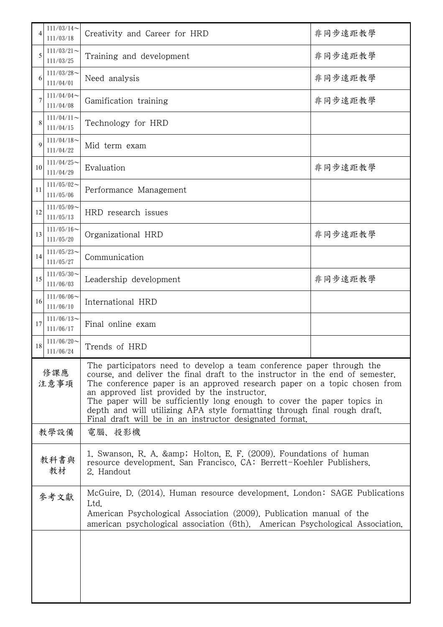| 4           | $111/03/14$ ~<br>111/03/18                                      | Creativity and Career for HRD                                                                                                                                                                                                                                                                                                                                                                                                                                                                         | 非同步遠距教學 |  |  |
|-------------|-----------------------------------------------------------------|-------------------------------------------------------------------------------------------------------------------------------------------------------------------------------------------------------------------------------------------------------------------------------------------------------------------------------------------------------------------------------------------------------------------------------------------------------------------------------------------------------|---------|--|--|
| 5           | $111/03/21$ ~<br>111/03/25                                      | Training and development                                                                                                                                                                                                                                                                                                                                                                                                                                                                              | 非同步遠距教學 |  |  |
| 6           | $111/03/28$ ~<br>Need analysis<br>111/04/01                     |                                                                                                                                                                                                                                                                                                                                                                                                                                                                                                       | 非同步遠距教學 |  |  |
| 7           | $111/04/04$ ~<br>Gamification training<br>111/04/08             |                                                                                                                                                                                                                                                                                                                                                                                                                                                                                                       | 非同步遠距教學 |  |  |
|             | $111/04/11$ ~<br>111/04/15                                      | Technology for HRD                                                                                                                                                                                                                                                                                                                                                                                                                                                                                    |         |  |  |
| $\mathbf Q$ | $111/04/18$ ~<br>111/04/22                                      | Mid term exam                                                                                                                                                                                                                                                                                                                                                                                                                                                                                         |         |  |  |
| 10          | $111/04/25$ ~<br>Evaluation<br>111/04/29                        |                                                                                                                                                                                                                                                                                                                                                                                                                                                                                                       | 非同步遠距教學 |  |  |
| 11          | $111/05/02$ ~<br>111/05/06                                      | Performance Management                                                                                                                                                                                                                                                                                                                                                                                                                                                                                |         |  |  |
| 12          | $111/05/09$ ~<br>111/05/13                                      | HRD research issues                                                                                                                                                                                                                                                                                                                                                                                                                                                                                   |         |  |  |
| 13          | $111/05/16$ ~<br>非同步遠距教學<br>Organizational HRD<br>111/05/20     |                                                                                                                                                                                                                                                                                                                                                                                                                                                                                                       |         |  |  |
| 14          | $111/05/23$ ~<br>111/05/27                                      | Communication                                                                                                                                                                                                                                                                                                                                                                                                                                                                                         |         |  |  |
| 15          | $111/05/30$ ~<br>非同步遠距教學<br>Leadership development<br>111/06/03 |                                                                                                                                                                                                                                                                                                                                                                                                                                                                                                       |         |  |  |
| 16          | 111/06/06<br>111/06/10                                          | International HRD                                                                                                                                                                                                                                                                                                                                                                                                                                                                                     |         |  |  |
| 17          | $111/06/13$ ~<br>111/06/17                                      | Final online exam                                                                                                                                                                                                                                                                                                                                                                                                                                                                                     |         |  |  |
| 18          | $111/06/20$ ~<br>111/06/24                                      | Trends of HRD                                                                                                                                                                                                                                                                                                                                                                                                                                                                                         |         |  |  |
| 修課應<br>注意事項 |                                                                 | The participators need to develop a team conference paper through the<br>course, and deliver the final draft to the instructor in the end of semester.<br>The conference paper is an approved research paper on a topic chosen from<br>an approved list provided by the instructor.<br>The paper will be sufficiently long enough to cover the paper topics in<br>depth and will utilizing APA style formatting through final rough draft.<br>Final draft will be in an instructor designated format. |         |  |  |
| 教學設備        |                                                                 | 電腦、投影機                                                                                                                                                                                                                                                                                                                                                                                                                                                                                                |         |  |  |
| 教科書與<br>教材  |                                                                 | 1. Swanson, R. A. & amp; Holton, E. F. (2009). Foundations of human<br>resource development. San Francisco, CA: Berrett-Koehler Publishers.<br>2. Handout                                                                                                                                                                                                                                                                                                                                             |         |  |  |
| 參考文獻        |                                                                 | McGuire, D. (2014). Human resource development. London: SAGE Publications<br>Ltd.<br>American Psychological Association (2009). Publication manual of the<br>american psychological association (6th). American Psychological Association.                                                                                                                                                                                                                                                            |         |  |  |
|             |                                                                 |                                                                                                                                                                                                                                                                                                                                                                                                                                                                                                       |         |  |  |